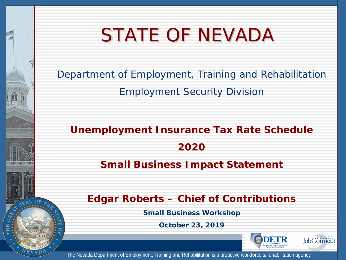# STATE OF NEVADA

Department of Employment, Training and Rehabilitation

Employment Security Division

**Unemployment Insurance Tax Rate Schedule 2020 Small Business Impact Statement**

**Edgar Roberts – Chief of Contributions** 

**Small Business Workshop**

**October 23, 2019**



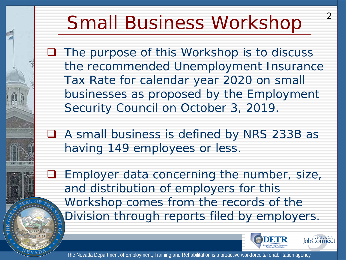# Small Business Workshop

 $\Box$  The purpose of this Workshop is to discuss the recommended Unemployment Insurance Tax Rate for calendar year 2020 on small businesses as proposed by the Employment Security Council on October 3, 2019.

■ A small business is defined by NRS 233B as having 149 employees or less.

 Employer data concerning the number, size, and distribution of employers for this Workshop comes from the records of the Division through reports filed by employers.



 $\mathcal{P}$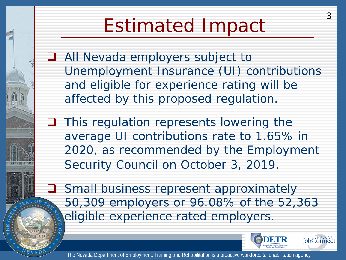# Estimated Impact

□ All Nevada employers subject to Unemployment Insurance (UI) contributions and eligible for experience rating will be affected by this proposed regulation.

 $\Box$  This regulation represents lowering the average UI contributions rate to 1.65% in 2020, as recommended by the Employment Security Council on October 3, 2019.

**Q** Small business represent approximately 50,309 employers or 96.08% of the 52,363 eligible experience rated employers.

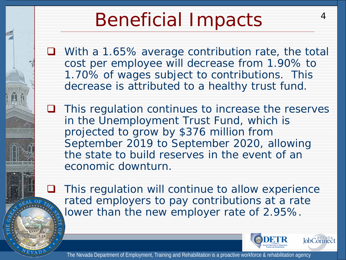# Beneficial Impacts

■ With a 1.65% average contribution rate, the total cost per employee will decrease from 1.90% to 1.70% of wages subject to contributions. This decrease is attributed to a healthy trust fund.

 $\Box$  This regulation continues to increase the reserves in the Unemployment Trust Fund, which is projected to grow by \$376 million from September 2019 to September 2020, allowing the state to build reserves in the event of an economic downturn.

 This regulation will continue to allow experience rated employers to pay contributions at a rate lower than the new employer rate of 2.95%.



4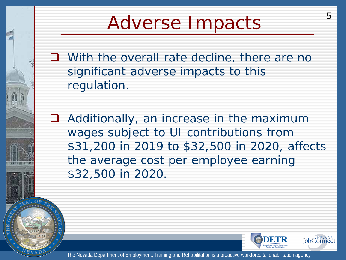## Adverse Impacts

**Q** With the overall rate decline, there are no significant adverse impacts to this regulation.

■ Additionally, an increase in the maximum wages subject to UI contributions from \$31,200 in 2019 to \$32,500 in 2020, affects the average cost per employee earning \$32,500 in 2020.



5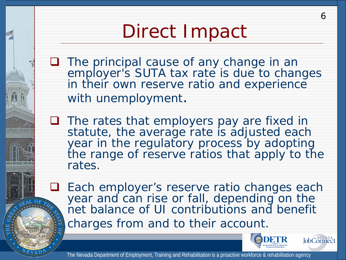# Direct Impact

- **The principal cause of any change in an** employer's SUTA tax rate is due to changes in their own reserve ratio and experience with unemployment.
- $\Box$  The rates that employers pay are fixed in statute, the average rate is adjusted each year in the regulatory process by adopting the range of reserve ratios that apply to the rates.
- □ Each employer's reserve ratio changes each year and can rise or fall, depending on the net balance of UI contributions and benefit charges from and to their account.





6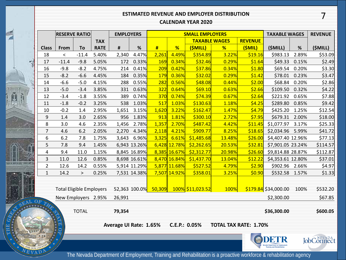### 7 **ESTIMATED REVENUE AND EMPLOYER DISTRIBUTION**

#### **CALENDAR YEAR 2020**

|       |                                 | <b>RESERVE RATIO</b> |         |             | <b>EMPLOYERS</b>       |              | <b>SMALL EMPLOYERS</b> |                                       |                      |        |                              | <b>TAXABLE WAGES</b> |          | <b>REVENUE</b>    |
|-------|---------------------------------|----------------------|---------|-------------|------------------------|--------------|------------------------|---------------------------------------|----------------------|--------|------------------------------|----------------------|----------|-------------------|
|       |                                 |                      |         | <b>TAX</b>  |                        |              |                        |                                       | <b>TAXABLE WAGES</b> |        | <b>REVENUE</b>               |                      |          |                   |
|       | <b>Class</b>                    | From                 | To      | <b>RATE</b> | #                      | $\%$         | #                      | %                                     | (\$MILL)             | %      | (\$MIL)                      | (\$MILL)             | $\%$     | (\$MILL)          |
|       | 18                              | $\,<\,$              | $-11.4$ | 5.40%       | 2,340                  | 4.47%        | 2,261                  | 4.49%                                 | \$354.89             | 3.22%  | \$19.16                      | \$983.13             | 2.89%    | \$53.09           |
|       | 17                              | $-11.4$              | $-9.8$  | 5.05%       | 172                    | 0.33%        | 169                    | 0.34%                                 | \$32.46              | 0.29%  | \$1.64                       | \$49.33              | 0.15%    | \$2.49            |
|       | 16                              | $-9.8$               | $-8.2$  | 4.75%       | 214                    | 0.41%        | 209                    | 0.42%                                 | \$37.86              | 0.34%  | \$1.80                       | \$69.54              | 0.20%    | \$3.30            |
|       | 15                              | $-8.2$               | $-6.6$  | 4.45%       | 184                    | 0.35%        | 179                    | 0.36%                                 | \$32.02              | 0.29%  | \$1.42                       | \$78.01              | 0.23%    | \$3.47            |
|       | 14                              | $-6.6$               | $-5.0$  | 4.15%       | 288                    | 0.55%        | 282                    | 0.56%                                 | \$48.08              | 0.44%  | \$2.00                       | \$68.84              | 0.20%    | \$2.86            |
|       | 13                              | $-5.0$               | $-3.4$  | 3.85%       | 331                    | 0.63%        | 322                    | 0.64%                                 | \$69.10              | 0.63%  | \$2.66                       | \$109.50             | 0.32%    | \$4.22            |
|       | 12                              | $-3.4$               | $-1.8$  | 3.55%       | 389                    | 0.74%        | 370                    | 0.74%                                 | \$74.39              | 0.67%  | \$2.64                       | \$221.92             | 0.65%    | \$7.88            |
|       | 11                              | $-1.8$               | $-0.2$  | 3.25%       | 538                    | 1.03%        | 517                    | 1.03%                                 | \$130.63             | 1.18%  | \$4.25                       | \$289.80             | 0.85%    | \$9.42            |
|       | 10                              | $-0.2$               | 1.4     | 2.95%       | 1,651                  | 3.15%        | 1,620                  | 3.22%                                 | \$162.47             | 1.47%  | \$4.79                       | \$425.20             | 1.25%    | \$12.54           |
|       | 9                               | 1.4                  | 3.0     | 2.65%       | 956                    | 1.83%        | 913                    | 1.81%                                 | \$300.10             | 2.72%  | \$7.95                       | \$679.31             | 2.00%    | \$18.00           |
|       | 8                               | 3.0                  | 4.6     | 2.35%       | 1,456                  | 2.78%        | 1,357                  | 2.70%                                 | \$487.42             | 4.42%  | \$11.45                      | \$1,077.97           | 3.17%    | \$25.33           |
|       | $\overline{7}$                  | 4.6                  | 6.2     | 2.05%       | 2,270                  | 4.34%        | 2,118                  | 4.21%                                 | \$909.77             | 8.25%  | \$18.65                      | \$2,034.96 5.99%     |          | \$41.72           |
|       | 6                               | 6.2                  | 7.8     | 1.75%       | 3,643                  | 6.96%        | 3,325                  | 6.61%                                 | \$1,485.68           | 13.48% | \$26.00                      | \$4,407.40 12.96%    |          | \$77.13           |
|       | 5                               | 7.8                  | 9.4     | 1.45%       |                        | 6,943 13.26% |                        | 6,428 12.78%                          | \$2,262.65           | 20.53% | \$32.81                      | \$7,901.05 23.24%    |          | \$114.57          |
|       | 4                               | 9.4                  | 11.0    | 1.15%       |                        | 8,845 16.89% |                        | 8,385 16.67%                          | \$2,312.77           | 20.98% | \$26.60                      | \$9,814.88 28.87%    |          | \$112.87          |
|       | 3                               | 11.0                 | 12.6    | 0.85%       |                        | 8,698 16.61% |                        | 8,470 16.84%                          | \$1,437.70           | 13.04% | \$12.22                      | \$4,353.61 12.80%    |          | \$37.01           |
|       | $\overline{2}$                  | 12.6                 | 14.2    | 0.55%       |                        | 5,914 11.29% |                        | 5,877 11.68%                          | \$527.52             | 4.79%  | \$2.90                       | \$902.96 2.66%       |          | \$4.97            |
|       | $\mathbf{1}$                    | 14.2                 | $\geq$  | 0.25%       |                        | 7,531 14.38% |                        | 7,507 14.92%                          | \$358.01             | 3.25%  | \$0.90                       | \$532.58 1.57%       |          | \$1.33            |
|       |                                 |                      |         |             |                        |              |                        |                                       |                      |        |                              |                      |          |                   |
|       | <b>Total Eligible Employers</b> |                      |         |             |                        |              |                        | 52,363 100.0% 50,309 100% \$11,023.52 | <b>100%</b>          |        | $$179.84$ \$34,000.00        | 100%                 | \$532.20 |                   |
|       |                                 | New Employers 2.95%  |         |             | 26,991                 |              |                        |                                       |                      |        |                              | \$2,300.00           |          | \$67.85           |
| OF TH |                                 |                      |         |             |                        |              |                        |                                       |                      |        |                              |                      |          |                   |
|       | <b>TOTAL</b>                    |                      |         | 79,354      |                        |              |                        |                                       |                      |        | \$36,300.00                  | \$600.05             |          |                   |
|       |                                 |                      |         |             |                        |              |                        |                                       |                      |        |                              |                      |          |                   |
|       |                                 |                      |         |             | Average UI Rate: 1.65% |              |                        |                                       | C.E.P.: 0.05%        |        | <b>TOTAL TAX RATE: 1.70%</b> |                      |          |                   |
|       | 20 年下夏                          |                      |         |             |                        |              |                        |                                       |                      |        |                              |                      |          |                   |
|       |                                 |                      |         |             |                        |              |                        |                                       |                      |        |                              | ODETR                |          | <b>JobConnect</b> |

Ã

**HECKERLAND HELM** 

FOR OUR COUP  $N_{EV}$ 

AD

The Nevada Department of Employment, Training and Rehabilitation is a proactive workforce & rehabilitation agency

**Nevada Department of Employment**<br>Training and Rehabilitation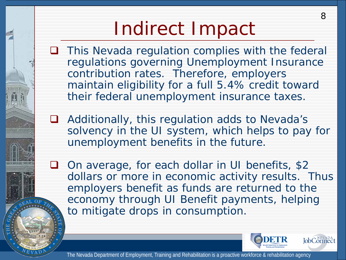# Indirect Impact

- $\Box$  This Nevada regulation complies with the federal regulations governing Unemployment Insurance contribution rates. Therefore, employers maintain eligibility for a full 5.4% credit toward their federal unemployment insurance taxes.
- **□** Additionally, this regulation adds to Nevada's solvency in the UI system, which helps to pay for unemployment benefits in the future.
- □ On average, for each dollar in UI benefits, \$2 dollars or more in economic activity results. Thus employers benefit as funds are returned to the economy through UI Benefit payments, helping to mitigate drops in consumption.



8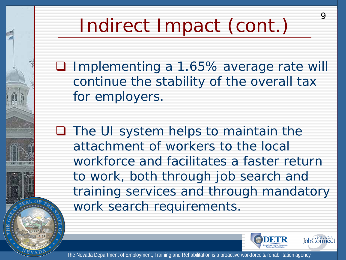# Indirect Impact (cont.)

■ Implementing a 1.65% average rate will continue the stability of the overall tax for employers.

 $\Box$  The UI system helps to maintain the attachment of workers to the local workforce and facilitates a faster return to work, both through job search and training services and through mandatory work search requirements.



9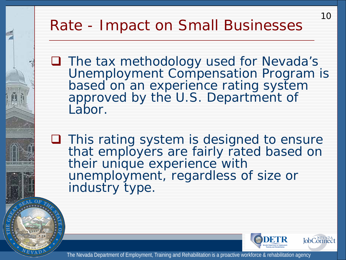### Rate - Impact on Small Businesses

■ The tax methodology used for Nevada's Unemployment Compensation Program is based on an experience rating system approved by the U.S. Department of Labor.

 $\Box$  This rating system is designed to ensure that employers are fairly rated based on their unique experience with unemployment, regardless of size or industry type.



10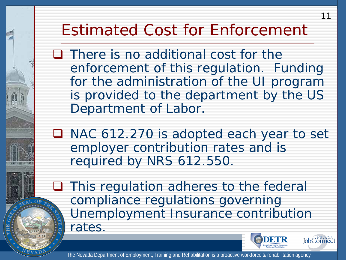## Estimated Cost for Enforcement

 $\Box$  There is no additional cost for the enforcement of this regulation. Funding for the administration of the UI program is provided to the department by the US Department of Labor.

■ NAC 612.270 is adopted each year to set employer contribution rates and is required by NRS 612.550.

 $\Box$  This regulation adheres to the federal compliance regulations governing Unemployment Insurance contribution rates.



11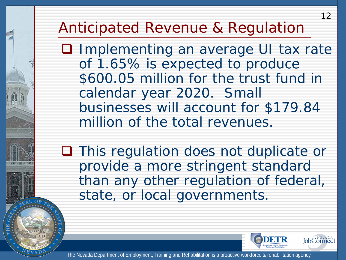### Anticipated Revenue & Regulation

**Q** Implementing an average UI tax rate of 1.65% is expected to produce \$600.05 million for the trust fund in calendar year 2020. Small businesses will account for \$179.84 million of the total revenues.

**□** This regulation does not duplicate or provide a more stringent standard than any other regulation of federal, state, or local governments.



12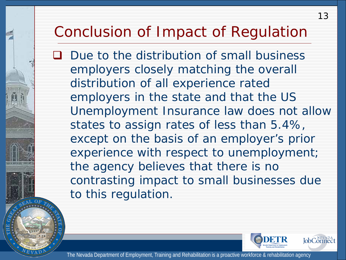### Conclusion of Impact of Regulation

**Q** Due to the distribution of small business employers closely matching the overall distribution of all experience rated employers in the state and that the US Unemployment Insurance law does not allow states to assign rates of less than 5.4%, except on the basis of an employer's prior experience with respect to unemployment; the agency believes that there is no contrasting impact to small businesses due to this regulation.